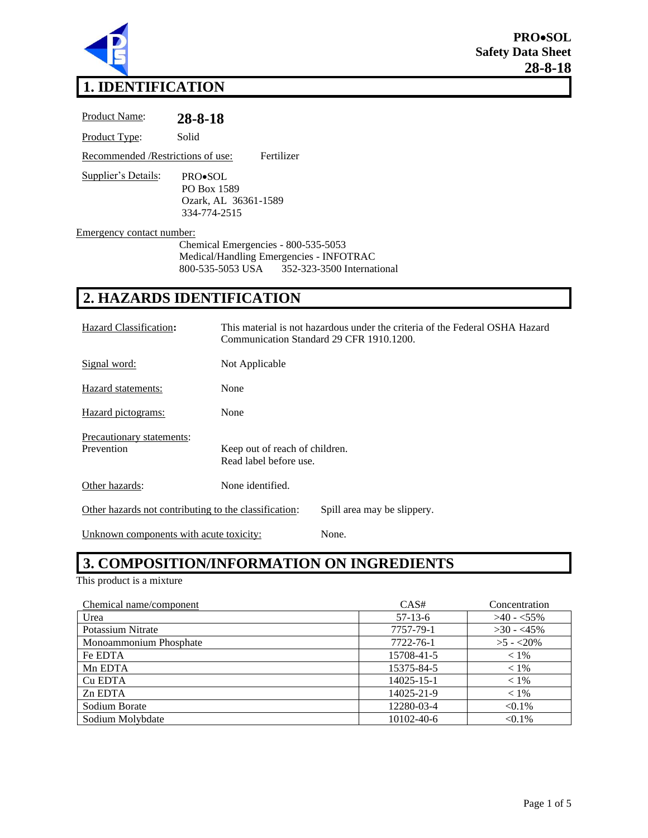

# **1. IDENTIFICATION**

| Product Name:                      | 28-8-18                                                        |  |
|------------------------------------|----------------------------------------------------------------|--|
| Product Type:                      | Solid                                                          |  |
| Recommended / Restrictions of use: | Fertilizer                                                     |  |
| <b>Supplier's Details:</b>         | PRO•SOL<br>PO Box 1589<br>Ozark, AL 36361-1589<br>334-774-2515 |  |
| Emergency contact number:          |                                                                |  |
|                                    | Chemical Emergencies - 800-535-5053                            |  |
|                                    | Medical/Handling Emergencies - INFOTRAC                        |  |
|                                    | 800-535-5053 USA 352-323-3500 International                    |  |

# **2. HAZARDS IDENTIFICATION**

| Hazard Classification:                                                               | This material is not hazardous under the criteria of the Federal OSHA Hazard<br>Communication Standard 29 CFR 1910.1200. |  |
|--------------------------------------------------------------------------------------|--------------------------------------------------------------------------------------------------------------------------|--|
| Signal word:                                                                         | Not Applicable                                                                                                           |  |
| Hazard statements:                                                                   | None                                                                                                                     |  |
| Hazard pictograms:                                                                   | None                                                                                                                     |  |
| Precautionary statements:<br>Prevention                                              | Keep out of reach of children.<br>Read label before use.                                                                 |  |
| Other hazards:                                                                       | None identified.                                                                                                         |  |
| Other hazards not contributing to the classification:<br>Spill area may be slippery. |                                                                                                                          |  |

Unknown components with acute toxicity: None.

# **3. COMPOSITION/INFORMATION ON INGREDIENTS**

This product is a mixture

| Chemical name/component | CAS#       | Concentration |
|-------------------------|------------|---------------|
| Urea                    | $57-13-6$  | $>40 - 55\%$  |
| Potassium Nitrate       | 7757-79-1  | $>30 - 45\%$  |
| Monoammonium Phosphate  | 7722-76-1  | $>5 - 20\%$   |
| Fe EDTA                 | 15708-41-5 | $< 1\%$       |
| Mn EDTA                 | 15375-84-5 | $< 1\%$       |
| Cu EDTA                 | 14025-15-1 | $< 1\%$       |
| Zn EDTA                 | 14025-21-9 | $< 1\%$       |
| Sodium Borate           | 12280-03-4 | $< 0.1\%$     |
| Sodium Molybdate        | 10102-40-6 | $< 0.1\%$     |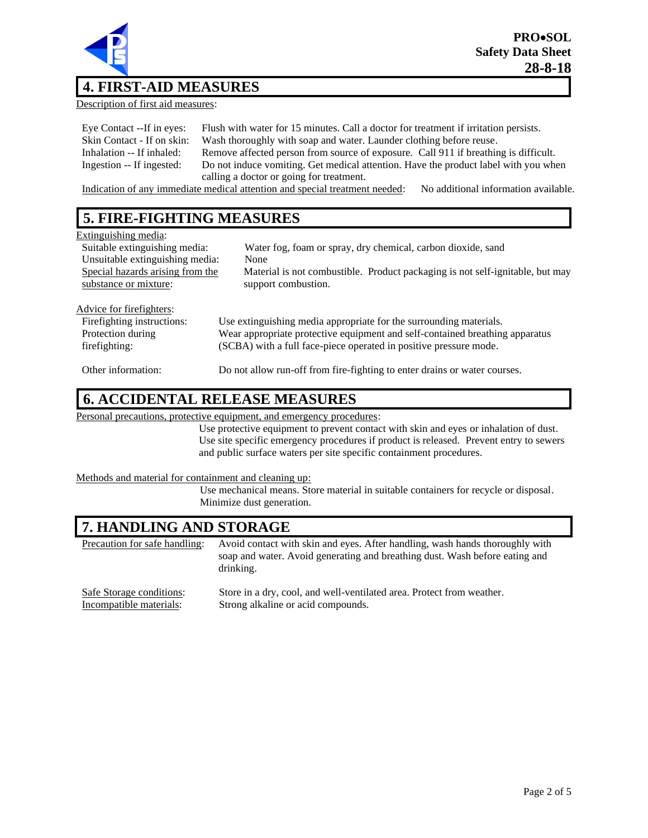

# **4. FIRST-AID MEASURES**

Description of first aid measures:

| Eye Contact --If in eyes:  | Flush with water for 15 minutes. Call a doctor for treatment if irritation persists. |
|----------------------------|--------------------------------------------------------------------------------------|
| Skin Contact - If on skin: | Wash thoroughly with soap and water. Launder clothing before reuse.                  |
| Inhalation -- If inhaled:  | Remove affected person from source of exposure. Call 911 if breathing is difficult.  |
| Ingestion -- If ingested:  | Do not induce vomiting. Get medical attention. Have the product label with you when  |
|                            | calling a doctor or going for treatment.                                             |

Indication of any immediate medical attention and special treatment needed: No additional information available.

# **5. FIRE-FIGHTING MEASURES**

| Extinguishing media:             |                                                                               |
|----------------------------------|-------------------------------------------------------------------------------|
| Suitable extinguishing media:    | Water fog, foam or spray, dry chemical, carbon dioxide, sand                  |
| Unsuitable extinguishing media:  | None                                                                          |
| Special hazards arising from the | Material is not combustible. Product packaging is not self-ignitable, but may |
| substance or mixture:            | support combustion.                                                           |
|                                  |                                                                               |
| Advice for fire fighters:        |                                                                               |
| Firefighting instructions:       | Use extinguishing media appropriate for the surrounding materials.            |
| Protection during                | Wear appropriate protective equipment and self-contained breathing apparatus  |
| firefighting:                    | (SCBA) with a full face-piece operated in positive pressure mode.             |
| Other information:               | Do not allow run-off from fire-fighting to enter drains or water courses.     |

# **6. ACCIDENTAL RELEASE MEASURES**

Personal precautions, protective equipment, and emergency procedures:

Use protective equipment to prevent contact with skin and eyes or inhalation of dust. Use site specific emergency procedures if product is released. Prevent entry to sewers and public surface waters per site specific containment procedures.

#### Methods and material for containment and cleaning up:

Use mechanical means. Store material in suitable containers for recycle or disposal. Minimize dust generation.

# **7. HANDLING AND STORAGE**

| Precaution for safe handling: | Avoid contact with skin and eyes. After handling, wash hands thoroughly with<br>soap and water. Avoid generating and breathing dust. Wash before eating and<br>drinking. |
|-------------------------------|--------------------------------------------------------------------------------------------------------------------------------------------------------------------------|
| Safe Storage conditions:      | Store in a dry, cool, and well-ventilated area. Protect from weather.                                                                                                    |
| Incompatible materials:       | Strong alkaline or acid compounds.                                                                                                                                       |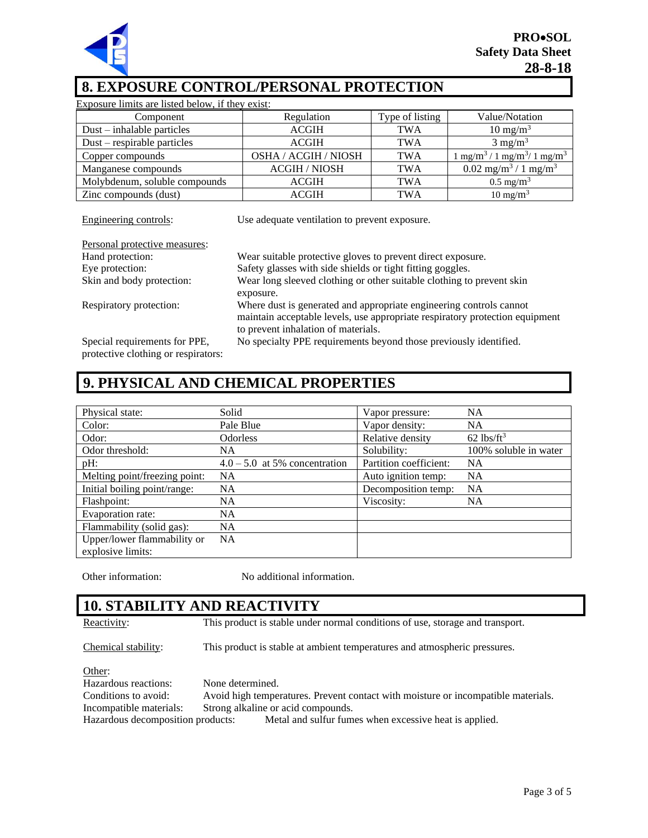

# **8. EXPOSURE CONTROL/PERSONAL PROTECTION**

| Exposure limits are listed below, if they exist: |                      |                 |                                                                             |
|--------------------------------------------------|----------------------|-----------------|-----------------------------------------------------------------------------|
| Component                                        | Regulation           | Type of listing | Value/Notation                                                              |
| $Dust - inhalable particles$                     | <b>ACGIH</b>         | <b>TWA</b>      | $10 \text{ mg/m}^3$                                                         |
| $Dust$ – respirable particles                    | <b>ACGIH</b>         | <b>TWA</b>      | $3 \text{ mg/m}^3$                                                          |
| Copper compounds                                 | OSHA / ACGIH / NIOSH | <b>TWA</b>      | $\frac{1}{2}$ mg/m <sup>3</sup> / 1 mg/m <sup>3</sup> / 1 mg/m <sup>3</sup> |
| Manganese compounds                              | <b>ACGIH / NIOSH</b> | <b>TWA</b>      | $0.02$ mg/m <sup>3</sup> / 1 mg/m <sup>3</sup>                              |
| Molybdenum, soluble compounds                    | <b>ACGIH</b>         | <b>TWA</b>      | $0.5 \text{ mg/m}^3$                                                        |
| Zinc compounds (dust)                            | <b>ACGIH</b>         | <b>TWA</b>      | $10 \text{ mg/m}^3$                                                         |

Engineering controls: Use adequate ventilation to prevent exposure.

| Personal protective measures:                                        |                                                                                                                     |
|----------------------------------------------------------------------|---------------------------------------------------------------------------------------------------------------------|
| Hand protection:                                                     | Wear suitable protective gloves to prevent direct exposure.                                                         |
| Eye protection:                                                      | Safety glasses with side shields or tight fitting goggles.                                                          |
| Skin and body protection:                                            | Wear long sleeved clothing or other suitable clothing to prevent skin                                               |
|                                                                      | exposure.                                                                                                           |
| Respiratory protection:                                              | Where dust is generated and appropriate engineering controls cannot                                                 |
|                                                                      | maintain acceptable levels, use appropriate respiratory protection equipment<br>to prevent inhalation of materials. |
| Special requirements for PPE,<br>protective clothing or respirators: | No specialty PPE requirements beyond those previously identified.                                                   |

# **9. PHYSICAL AND CHEMICAL PROPERTIES**

| Physical state:                                  | Solid                           | Vapor pressure:        | <b>NA</b>                |
|--------------------------------------------------|---------------------------------|------------------------|--------------------------|
| Color:                                           | Pale Blue                       | Vapor density:         | <b>NA</b>                |
| Odor:                                            | <b>Odorless</b>                 | Relative density       | $62$ lbs/ft <sup>3</sup> |
| Odor threshold:                                  | <b>NA</b>                       | Solubility:            | 100% soluble in water    |
| pH:                                              | $4.0 - 5.0$ at 5% concentration | Partition coefficient: | <b>NA</b>                |
| Melting point/freezing point:                    | <b>NA</b>                       | Auto ignition temp:    | <b>NA</b>                |
| Initial boiling point/range:                     | <b>NA</b>                       | Decomposition temp:    | <b>NA</b>                |
| Flashpoint:                                      | <b>NA</b>                       | Viscosity:             | <b>NA</b>                |
| Evaporation rate:                                | <b>NA</b>                       |                        |                          |
| Flammability (solid gas):                        | <b>NA</b>                       |                        |                          |
| Upper/lower flammability or<br>explosive limits: | <b>NA</b>                       |                        |                          |

Other information: No additional information.

# **10. STABILITY AND REACTIVITY**

Reactivity: This product is stable under normal conditions of use, storage and transport.

Chemical stability: This product is stable at ambient temperatures and atmospheric pressures.

Other:

Hazardous reactions: None determined. Conditions to avoid: Avoid high temperatures. Prevent contact with moisture or incompatible materials. Incompatible materials: Strong alkaline or acid compounds. Hazardous decomposition products: Metal and sulfur fumes when excessive heat is applied.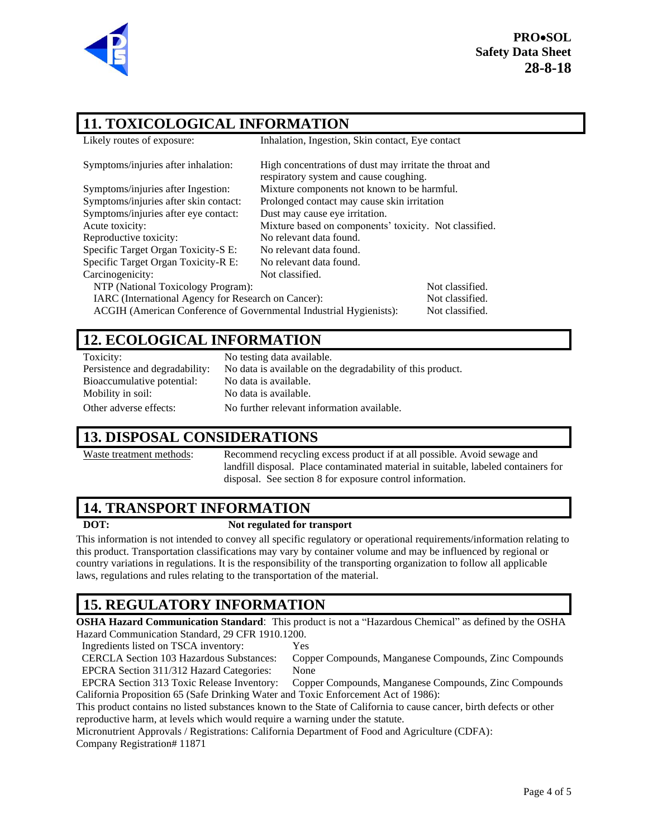

**PRO**•**SOL Safety Data Sheet 28-8-18**

# **11. TOXICOLOGICAL INFORMATION**

| Likely routes of exposure:                                         | Inhalation, Ingestion, Skin contact, Eye contact                                                  |                 |
|--------------------------------------------------------------------|---------------------------------------------------------------------------------------------------|-----------------|
| Symptoms/injuries after inhalation:                                | High concentrations of dust may irritate the throat and<br>respiratory system and cause coughing. |                 |
| Symptoms/injuries after Ingestion:                                 | Mixture components not known to be harmful.                                                       |                 |
| Symptoms/injuries after skin contact:                              | Prolonged contact may cause skin irritation                                                       |                 |
| Symptoms/injuries after eye contact:                               | Dust may cause eye irritation.                                                                    |                 |
| Acute toxicity:                                                    | Mixture based on components' toxicity. Not classified.                                            |                 |
| Reproductive toxicity:                                             | No relevant data found.                                                                           |                 |
| Specific Target Organ Toxicity-S E:                                | No relevant data found.                                                                           |                 |
| Specific Target Organ Toxicity-R E:                                | No relevant data found.                                                                           |                 |
| Carcinogenicity:                                                   | Not classified.                                                                                   |                 |
| NTP (National Toxicology Program):                                 |                                                                                                   | Not classified. |
| IARC (International Agency for Research on Cancer):                |                                                                                                   | Not classified. |
| ACGIH (American Conference of Governmental Industrial Hygienists): |                                                                                                   | Not classified. |

## **12. ECOLOGICAL INFORMATION**

| Toxicity:                      | No testing data available.                                 |
|--------------------------------|------------------------------------------------------------|
| Persistence and degradability: | No data is available on the degradability of this product. |
| Bioaccumulative potential:     | No data is available.                                      |
| Mobility in soil:              | No data is available.                                      |
| Other adverse effects:         | No further relevant information available.                 |

## **13. DISPOSAL CONSIDERATIONS**

Waste treatment methods: Recommend recycling excess product if at all possible. Avoid sewage and landfill disposal. Place contaminated material in suitable, labeled containers for disposal. See section 8 for exposure control information.

# **14. TRANSPORT INFORMATION**

### **DOT: Not regulated for transport**

This information is not intended to convey all specific regulatory or operational requirements/information relating to this product. Transportation classifications may vary by container volume and may be influenced by regional or country variations in regulations. It is the responsibility of the transporting organization to follow all applicable laws, regulations and rules relating to the transportation of the material.

# **15. REGULATORY INFORMATION**

**OSHA Hazard Communication Standard**: This product is not a "Hazardous Chemical" as defined by the OSHA Hazard Communication Standard, 29 CFR 1910.1200.

Ingredients listed on TSCA inventory: Yes

CERCLA Section 103 Hazardous Substances: Copper Compounds, Manganese Compounds, Zinc Compounds EPCRA Section 311/312 Hazard Categories: None

EPCRA Section 313 Toxic Release Inventory: Copper Compounds, Manganese Compounds, Zinc Compounds California Proposition 65 (Safe Drinking Water and Toxic Enforcement Act of 1986):

This product contains no listed substances known to the State of California to cause cancer, birth defects or other reproductive harm, at levels which would require a warning under the statute.

Micronutrient Approvals / Registrations: California Department of Food and Agriculture (CDFA): Company Registration# 11871